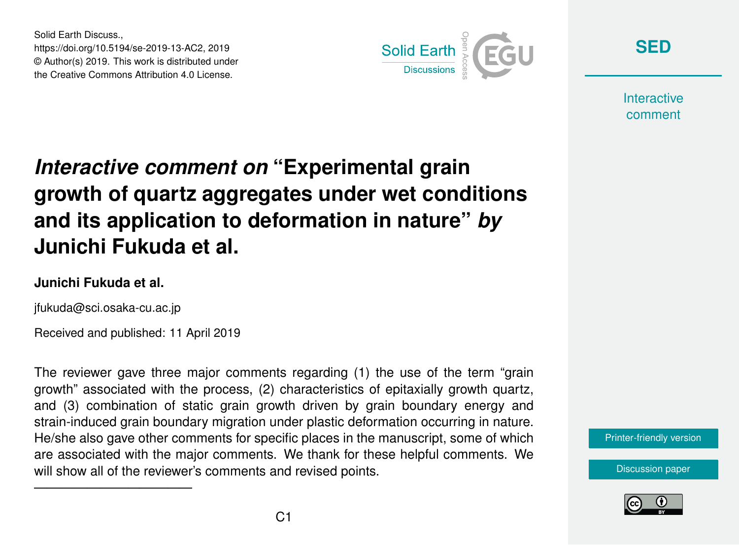Solid Earth Discuss., https://doi.org/10.5194/se-2019-13-AC2, 2019 © Author(s) 2019. This work is distributed under the Creative Commons Attribution 4.0 License.



**[SED](https://www.solid-earth-discuss.net/)**

**Interactive** comment

# *Interactive comment on* **"Experimental grain growth of quartz aggregates under wet conditions and its application to deformation in nature"** *by* **Junichi Fukuda et al.**

#### **Junichi Fukuda et al.**

jfukuda@sci.osaka-cu.ac.jp

————————————

Received and published: 11 April 2019

The reviewer gave three major comments regarding (1) the use of the term "grain growth" associated with the process, (2) characteristics of epitaxially growth quartz, and (3) combination of static grain growth driven by grain boundary energy and strain-induced grain boundary migration under plastic deformation occurring in nature. He/she also gave other comments for specific places in the manuscript, some of which are associated with the major comments. We thank for these helpful comments. We will show all of the reviewer's comments and revised points.

[Printer-friendly version](https://www.solid-earth-discuss.net/se-2019-13/se-2019-13-AC2-print.pdf)

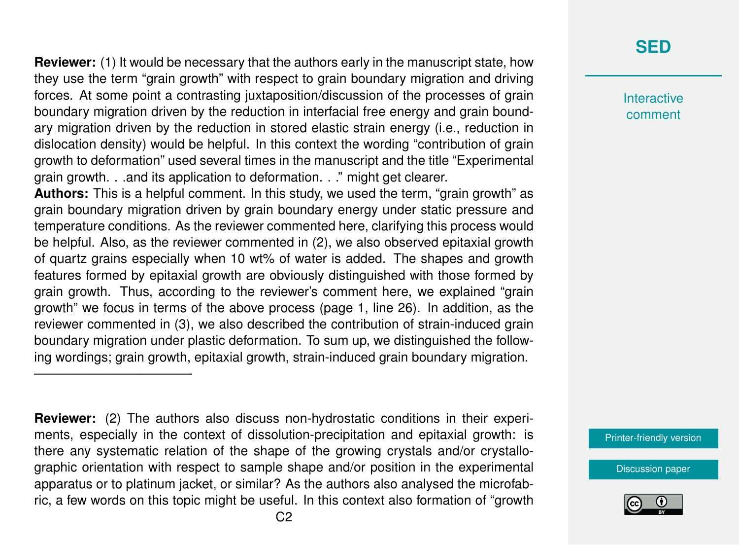**Reviewer:** (1) It would be necessary that the authors early in the manuscript state, how they use the term "grain growth" with respect to grain boundary migration and driving forces. At some point a contrasting juxtaposition/discussion of the processes of grain boundary migration driven by the reduction in interfacial free energy and grain boundary migration driven by the reduction in stored elastic strain energy (i.e., reduction in dislocation density) would be helpful. In this context the wording "contribution of grain growth to deformation" used several times in the manuscript and the title "Experimental grain growth. . .and its application to deformation. . ." might get clearer.

**Authors:** This is a helpful comment. In this study, we used the term, "grain growth" as grain boundary migration driven by grain boundary energy under static pressure and temperature conditions. As the reviewer commented here, clarifying this process would be helpful. Also, as the reviewer commented in (2), we also observed epitaxial growth of quartz grains especially when 10 wt% of water is added. The shapes and growth features formed by epitaxial growth are obviously distinguished with those formed by grain growth. Thus, according to the reviewer's comment here, we explained "grain growth" we focus in terms of the above process (page 1, line 26). In addition, as the reviewer commented in (3), we also described the contribution of strain-induced grain boundary migration under plastic deformation. To sum up, we distinguished the following wordings; grain growth, epitaxial growth, strain-induced grain boundary migration.

**Reviewer:** (2) The authors also discuss non-hydrostatic conditions in their experiments, especially in the context of dissolution-precipitation and epitaxial growth: is there any systematic relation of the shape of the growing crystals and/or crystallographic orientation with respect to sample shape and/or position in the experimental apparatus or to platinum jacket, or similar? As the authors also analysed the microfabric, a few words on this topic might be useful. In this context also formation of "growth

————————————

## **[SED](https://www.solid-earth-discuss.net/)**

**Interactive** comment

[Printer-friendly version](https://www.solid-earth-discuss.net/se-2019-13/se-2019-13-AC2-print.pdf)

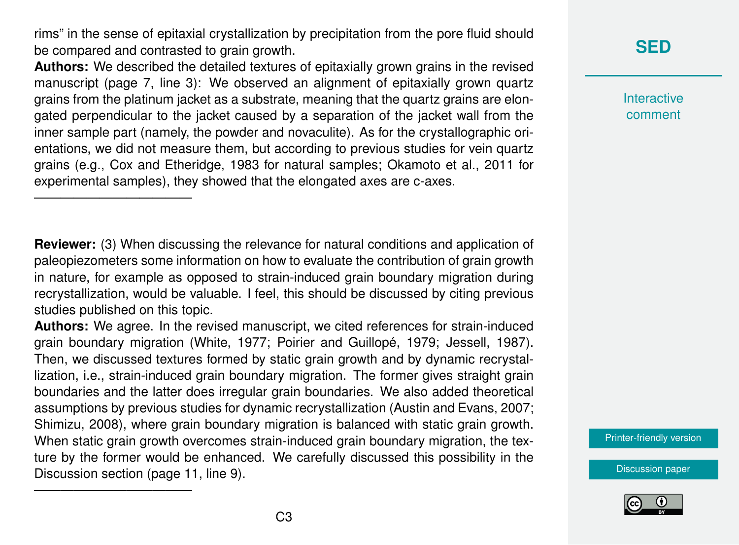rims" in the sense of epitaxial crystallization by precipitation from the pore fluid should be compared and contrasted to grain growth.

**Authors:** We described the detailed textures of epitaxially grown grains in the revised manuscript (page 7, line 3): We observed an alignment of epitaxially grown quartz grains from the platinum jacket as a substrate, meaning that the quartz grains are elongated perpendicular to the jacket caused by a separation of the jacket wall from the inner sample part (namely, the powder and novaculite). As for the crystallographic orientations, we did not measure them, but according to previous studies for vein quartz grains (e.g., Cox and Etheridge, 1983 for natural samples; Okamoto et al., 2011 for experimental samples), they showed that the elongated axes are c-axes.

————————————

————————————

**Reviewer:** (3) When discussing the relevance for natural conditions and application of paleopiezometers some information on how to evaluate the contribution of grain growth in nature, for example as opposed to strain-induced grain boundary migration during recrystallization, would be valuable. I feel, this should be discussed by citing previous studies published on this topic.

**Authors:** We agree. In the revised manuscript, we cited references for strain-induced grain boundary migration (White, 1977; Poirier and Guillopé, 1979; Jessell, 1987). Then, we discussed textures formed by static grain growth and by dynamic recrystallization, i.e., strain-induced grain boundary migration. The former gives straight grain boundaries and the latter does irregular grain boundaries. We also added theoretical assumptions by previous studies for dynamic recrystallization (Austin and Evans, 2007; Shimizu, 2008), where grain boundary migration is balanced with static grain growth. When static grain growth overcomes strain-induced grain boundary migration, the texture by the former would be enhanced. We carefully discussed this possibility in the Discussion section (page 11, line 9).

**[SED](https://www.solid-earth-discuss.net/)**

**Interactive** comment

[Printer-friendly version](https://www.solid-earth-discuss.net/se-2019-13/se-2019-13-AC2-print.pdf)

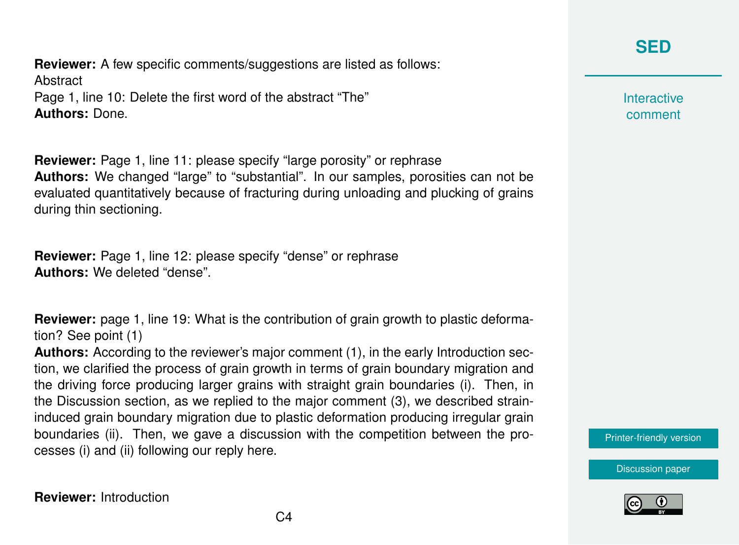## **[SED](https://www.solid-earth-discuss.net/)**

**Reviewer:** A few specific comments/suggestions are listed as follows: **Abstract** Page 1, line 10: Delete the first word of the abstract "The" **Authors:** Done.

**Reviewer:** Page 1, line 11: please specify "large porosity" or rephrase **Authors:** We changed "large" to "substantial". In our samples, porosities can not be evaluated quantitatively because of fracturing during unloading and plucking of grains during thin sectioning.

**Reviewer:** Page 1, line 12: please specify "dense" or rephrase **Authors:** We deleted "dense".

**Reviewer:** page 1, line 19: What is the contribution of grain growth to plastic deformation? See point (1)

**Authors:** According to the reviewer's major comment (1), in the early Introduction section, we clarified the process of grain growth in terms of grain boundary migration and the driving force producing larger grains with straight grain boundaries (i). Then, in the Discussion section, as we replied to the major comment (3), we described straininduced grain boundary migration due to plastic deformation producing irregular grain boundaries (ii). Then, we gave a discussion with the competition between the processes (i) and (ii) following our reply here.

**Interactive** comment

[Printer-friendly version](https://www.solid-earth-discuss.net/se-2019-13/se-2019-13-AC2-print.pdf)

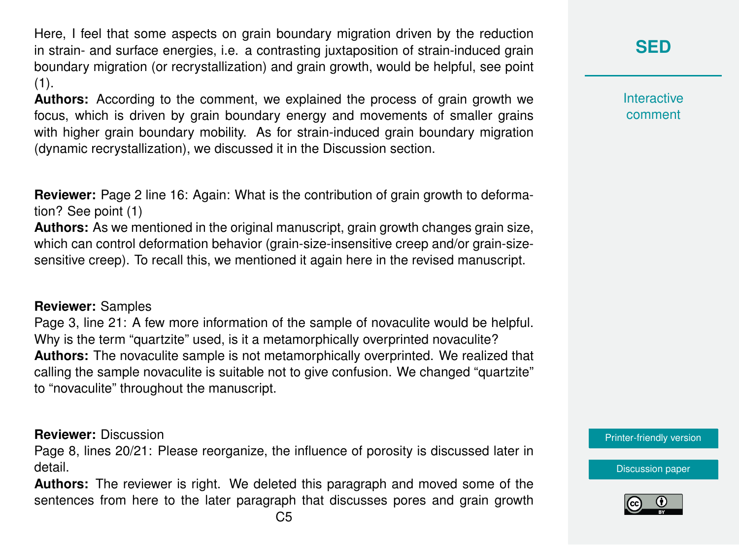Here, I feel that some aspects on grain boundary migration driven by the reduction in strain- and surface energies, i.e. a contrasting juxtaposition of strain-induced grain boundary migration (or recrystallization) and grain growth, would be helpful, see point  $(1).$ 

**Authors:** According to the comment, we explained the process of grain growth we focus, which is driven by grain boundary energy and movements of smaller grains with higher grain boundary mobility. As for strain-induced grain boundary migration (dynamic recrystallization), we discussed it in the Discussion section.

**Reviewer:** Page 2 line 16: Again: What is the contribution of grain growth to deformation? See point (1)

**Authors:** As we mentioned in the original manuscript, grain growth changes grain size, which can control deformation behavior (grain-size-insensitive creep and/or grain-sizesensitive creep). To recall this, we mentioned it again here in the revised manuscript.

#### **Reviewer:** Samples

Page 3, line 21: A few more information of the sample of novaculite would be helpful. Why is the term "quartzite" used, is it a metamorphically overprinted novaculite? **Authors:** The novaculite sample is not metamorphically overprinted. We realized that calling the sample novaculite is suitable not to give confusion. We changed "quartzite" to "novaculite" throughout the manuscript.

#### **Reviewer:** Discussion

Page 8, lines 20/21: Please reorganize, the influence of porosity is discussed later in detail.

**Authors:** The reviewer is right. We deleted this paragraph and moved some of the sentences from here to the later paragraph that discusses pores and grain growth **Interactive** comment

[Printer-friendly version](https://www.solid-earth-discuss.net/se-2019-13/se-2019-13-AC2-print.pdf)

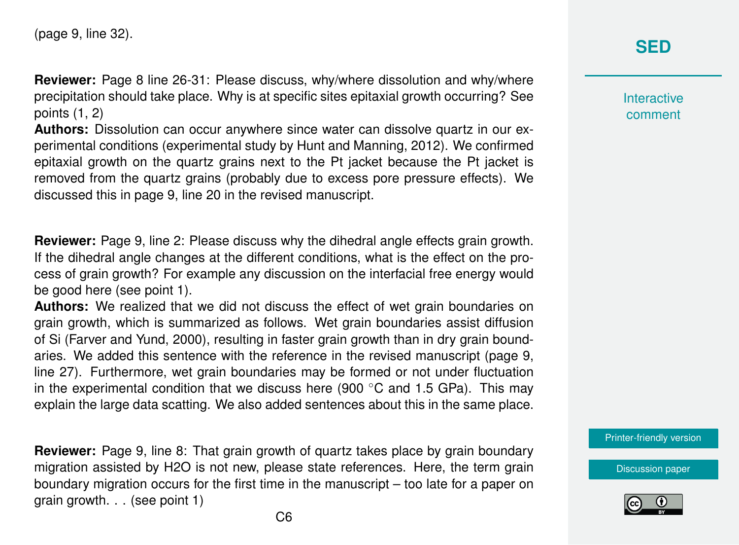**Reviewer:** Page 8 line 26-31: Please discuss, why/where dissolution and why/where precipitation should take place. Why is at specific sites epitaxial growth occurring? See points (1, 2)

**Authors:** Dissolution can occur anywhere since water can dissolve quartz in our experimental conditions (experimental study by Hunt and Manning, 2012). We confirmed epitaxial growth on the quartz grains next to the Pt jacket because the Pt jacket is removed from the quartz grains (probably due to excess pore pressure effects). We discussed this in page 9, line 20 in the revised manuscript.

**Reviewer:** Page 9, line 2: Please discuss why the dihedral angle effects grain growth. If the dihedral angle changes at the different conditions, what is the effect on the process of grain growth? For example any discussion on the interfacial free energy would be good here (see point 1).

**Authors:** We realized that we did not discuss the effect of wet grain boundaries on grain growth, which is summarized as follows. Wet grain boundaries assist diffusion of Si (Farver and Yund, 2000), resulting in faster grain growth than in dry grain boundaries. We added this sentence with the reference in the revised manuscript (page 9, line 27). Furthermore, wet grain boundaries may be formed or not under fluctuation in the experimental condition that we discuss here (900  $\degree$ C and 1.5 GPa). This may explain the large data scatting. We also added sentences about this in the same place.

**Reviewer:** Page 9, line 8: That grain growth of quartz takes place by grain boundary migration assisted by H2O is not new, please state references. Here, the term grain boundary migration occurs for the first time in the manuscript – too late for a paper on grain growth. . . (see point 1)

### **[SED](https://www.solid-earth-discuss.net/)**

**Interactive** comment

[Printer-friendly version](https://www.solid-earth-discuss.net/se-2019-13/se-2019-13-AC2-print.pdf)

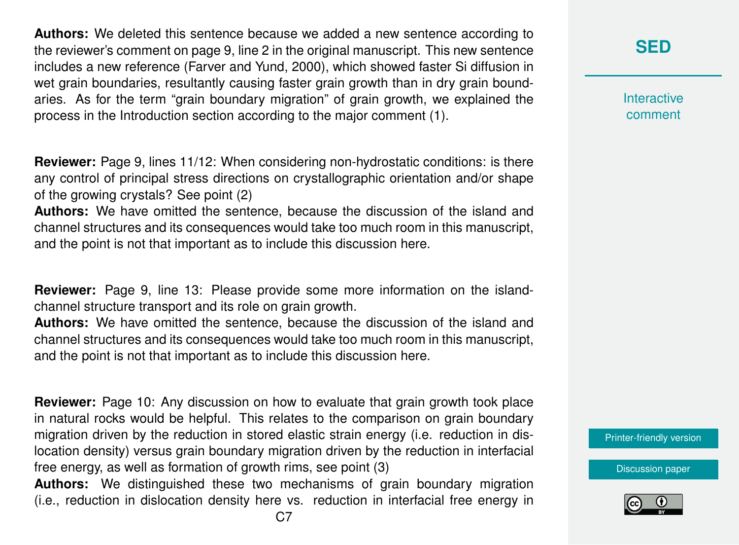**Authors:** We deleted this sentence because we added a new sentence according to the reviewer's comment on page 9, line 2 in the original manuscript. This new sentence includes a new reference (Farver and Yund, 2000), which showed faster Si diffusion in wet grain boundaries, resultantly causing faster grain growth than in dry grain boundaries. As for the term "grain boundary migration" of grain growth, we explained the process in the Introduction section according to the major comment (1).

**Reviewer:** Page 9, lines 11/12: When considering non-hydrostatic conditions: is there any control of principal stress directions on crystallographic orientation and/or shape of the growing crystals? See point (2)

**Authors:** We have omitted the sentence, because the discussion of the island and channel structures and its consequences would take too much room in this manuscript, and the point is not that important as to include this discussion here.

**Reviewer:** Page 9, line 13: Please provide some more information on the islandchannel structure transport and its role on grain growth.

**Authors:** We have omitted the sentence, because the discussion of the island and channel structures and its consequences would take too much room in this manuscript, and the point is not that important as to include this discussion here.

**Reviewer:** Page 10: Any discussion on how to evaluate that grain growth took place in natural rocks would be helpful. This relates to the comparison on grain boundary migration driven by the reduction in stored elastic strain energy (i.e. reduction in dislocation density) versus grain boundary migration driven by the reduction in interfacial free energy, as well as formation of growth rims, see point (3)

**Authors:** We distinguished these two mechanisms of grain boundary migration (i.e., reduction in dislocation density here vs. reduction in interfacial free energy in **[SED](https://www.solid-earth-discuss.net/)**

**Interactive** comment

[Printer-friendly version](https://www.solid-earth-discuss.net/se-2019-13/se-2019-13-AC2-print.pdf)